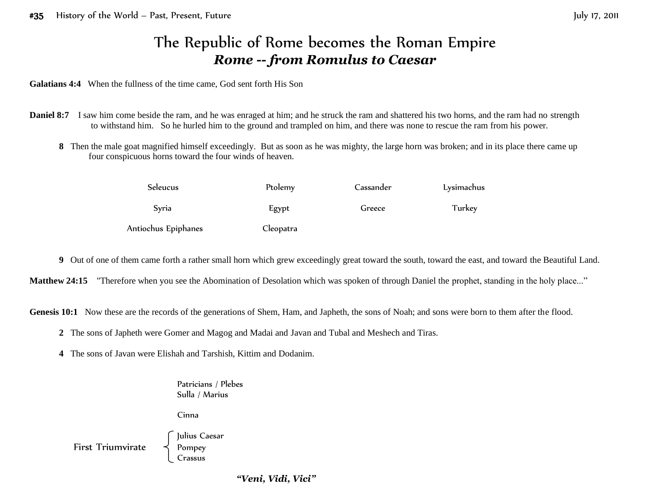## The Republic of Rome becomes the Roman Empire *Rome -- from Romulus to Caesar*

**Galatians 4:4** When the fullness of the time came, God sent forth His Son

- **Daniel 8:7** I saw him come beside the ram, and he was enraged at him; and he struck the ram and shattered his two horns, and the ram had no strength to withstand him. So he hurled him to the ground and trampled on him, and there was none to rescue the ram from his power.
	- **8** Then the male goat magnified himself exceedingly. But as soon as he was mighty, the large horn was broken; and in its place there came up four conspicuous horns toward the four winds of heaven.

| Seleucus            | Ptolemy   | Cassander | Lysimachus |
|---------------------|-----------|-----------|------------|
| Syria               | Egypt     | Greece    | Turkey     |
| Antiochus Epiphanes | Cleopatra |           |            |

**9** Out of one of them came forth a rather small horn which grew exceedingly great toward the south, toward the east, and toward the Beautiful Land.

Matthew 24:15 "Therefore when you see the Abomination of Desolation which was spoken of through Daniel the prophet, standing in the holy place..."

Genesis 10:1 Now these are the records of the generations of Shem, Ham, and Japheth, the sons of Noah; and sons were born to them after the flood.

**2** The sons of Japheth were Gomer and Magog and Madai and Javan and Tubal and Meshech and Tiras.

**4** The sons of Javan were Elishah and Tarshish, Kittim and Dodanim.

Patricians / Plebes Sulla / Marius

Cinna

Julius Caesar First Triumvirate  $\prec$  Pompey Crassus

*"Veni, Vidi, Vici"*